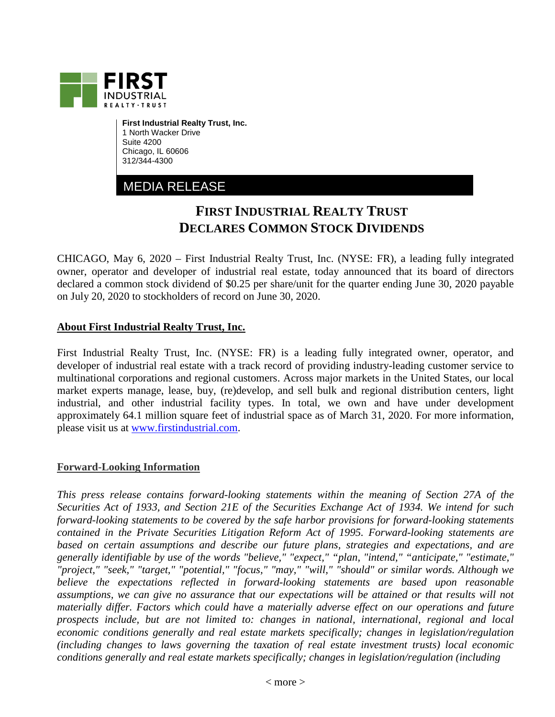

**First Industrial Realty Trust, Inc.** 1 North Wacker Drive Suite 4200 Chicago, IL 60606 312/344-4300

## MEDIA RELEASE

## **FIRST INDUSTRIAL REALTY TRUST DECLARES COMMON STOCK DIVIDENDS**

CHICAGO, May 6, 2020 – First Industrial Realty Trust, Inc. (NYSE: FR), a leading fully integrated owner, operator and developer of industrial real estate, today announced that its board of directors declared a common stock dividend of \$0.25 per share/unit for the quarter ending June 30, 2020 payable on July 20, 2020 to stockholders of record on June 30, 2020.

## **About First Industrial Realty Trust, Inc.**

First Industrial Realty Trust, Inc. (NYSE: FR) is a leading fully integrated owner, operator, and developer of industrial real estate with a track record of providing industry-leading customer service to multinational corporations and regional customers. Across major markets in the United States, our local market experts manage, lease, buy, (re)develop, and sell bulk and regional distribution centers, light industrial, and other industrial facility types. In total, we own and have under development approximately 64.1 million square feet of industrial space as of March 31, 2020. For more information, please visit us at [www.firstindustrial.com.](http://www.firstindustrial.com/)

## **Forward-Looking Information**

*This press release contains forward-looking statements within the meaning of Section 27A of the Securities Act of 1933, and Section 21E of the Securities Exchange Act of 1934. We intend for such forward-looking statements to be covered by the safe harbor provisions for forward-looking statements contained in the Private Securities Litigation Reform Act of 1995. Forward-looking statements are based on certain assumptions and describe our future plans, strategies and expectations, and are generally identifiable by use of the words "believe," "expect," "plan, "intend," "anticipate," "estimate," "project," "seek," "target," "potential," "focus," "may," "will," "should" or similar words. Although we believe the expectations reflected in forward-looking statements are based upon reasonable assumptions, we can give no assurance that our expectations will be attained or that results will not materially differ. Factors which could have a materially adverse effect on our operations and future prospects include, but are not limited to: changes in national, international, regional and local economic conditions generally and real estate markets specifically; changes in legislation/regulation (including changes to laws governing the taxation of real estate investment trusts) local economic conditions generally and real estate markets specifically; changes in legislation/regulation (including*